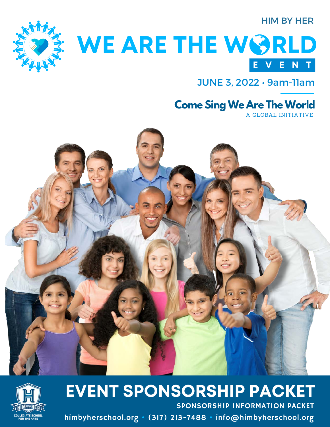#### HIM BY HER



# WE ARE THE WORLD **E V E N T**

JUNE 3, 2022 • 9am-11am

### **Come Sing We Are The World**

A GLOBAL INITIATIVE





SPONSORSHIP INFORMATION PACKET **EVENT SPONSORSHIP PACKET**

himbyherschool.org • (317) 213-7488 • info@himbyherschool.org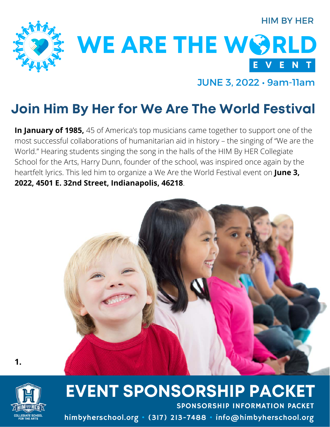#### HIM BY HER



WE ARE THE WORLD **E V E N T**

JUNE 3, 2022 • 9am-11am

### **Join Him By Her for We Are The World Festival**

**In January of 1985,** 45 of America's top musicians came together to support one of the most successful collaborations of humanitarian aid in history – the singing of "We are the World." Hearing students singing the song in the halls of the HIM By HER Collegiate School for the Arts, Harry Dunn, founder of the school, was inspired once again by the heartfelt lyrics. This led him to organize a We Are the World Festival event on **June 3, 2022, 4501 E. 32nd Street, Indianapolis, 46218**.





**1.**

## **EVENT SPONSORSHIP PACKET**

himbyherschool.org • (317) 213-7488 • info@himbyherschool.org SPONSORSHIP INFORMATION PACKET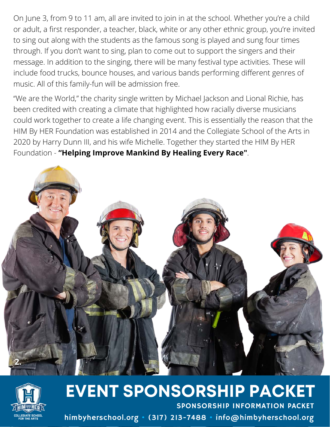On June 3, from 9 to 11 am, all are invited to join in at the school. Whether you're a child or adult, a first responder, a teacher, black, white or any other ethnic group, you're invited to sing out along with the students as the famous song is played and sung four times through. If you don't want to sing, plan to come out to support the singers and their message. In addition to the singing, there will be many festival type activities. These will include food trucks, bounce houses, and various bands performing different genres of music. All of this family-fun will be admission free.

"We are the World," the charity single written by Michael Jackson and Lional Richie, has been credited with creating a climate that highlighted how racially diverse musicians could work together to create a life changing event. This is essentially the reason that the HIM By HER Foundation was established in 2014 and the Collegiate School of the Arts in 2020 by Harry Dunn III, and his wife Michelle. Together they started the HIM By HER Foundation - **"Helping Improve Mankind By Healing Every Race"**.





### SPONSORSHIP INFORMATION PACKET **EVENT SPONSORSHIP PACKET**

himbyherschool.org • (317) 213-7488 • info@himbyherschool.org